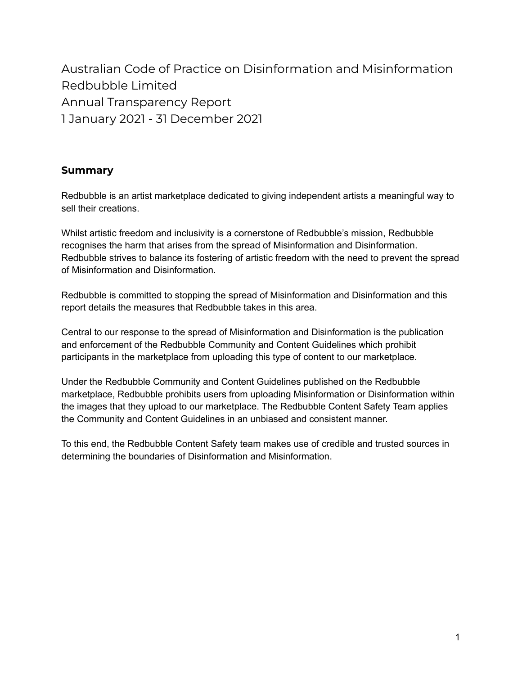Australian Code of Practice on Disinformation and Misinformation Redbubble Limited Annual Transparency Report 1 January 2021 - 31 December 2021

### **Summary**

Redbubble is an artist marketplace dedicated to giving independent artists a meaningful way to sell their creations.

Whilst artistic freedom and inclusivity is a cornerstone of Redbubble's mission, Redbubble recognises the harm that arises from the spread of Misinformation and Disinformation. Redbubble strives to balance its fostering of artistic freedom with the need to prevent the spread of Misinformation and Disinformation.

Redbubble is committed to stopping the spread of Misinformation and Disinformation and this report details the measures that Redbubble takes in this area.

Central to our response to the spread of Misinformation and Disinformation is the publication and enforcement of the Redbubble Community and Content Guidelines which prohibit participants in the marketplace from uploading this type of content to our marketplace.

Under the Redbubble Community and Content Guidelines published on the Redbubble marketplace, Redbubble prohibits users from uploading Misinformation or Disinformation within the images that they upload to our marketplace. The Redbubble Content Safety Team applies the Community and Content Guidelines in an unbiased and consistent manner.

To this end, the Redbubble Content Safety team makes use of credible and trusted sources in determining the boundaries of Disinformation and Misinformation.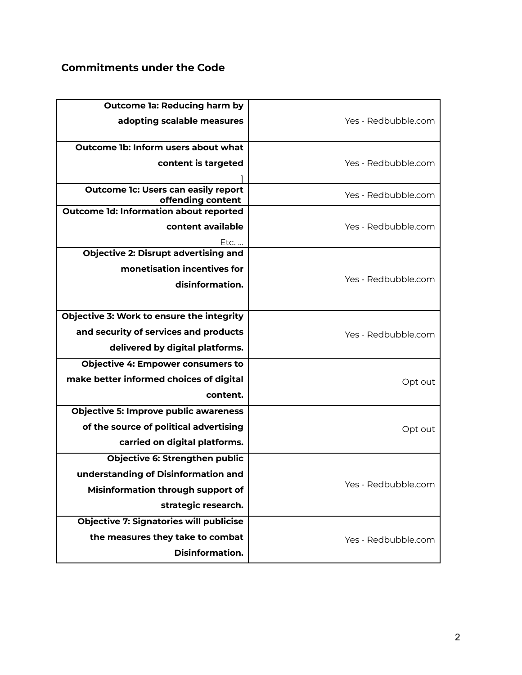# **Commitments under the Code**

| <b>Outcome la: Reducing harm by</b><br>adopting scalable measures                                                                        | Yes - Redbubble.com |
|------------------------------------------------------------------------------------------------------------------------------------------|---------------------|
| Outcome 1b: Inform users about what<br>content is targeted                                                                               | Yes - Redbubble.com |
| <b>Outcome 1c: Users can easily report</b><br>offending content                                                                          | Yes - Redbubble.com |
| <b>Outcome 1d: Information about reported</b><br>content available<br>Etc.                                                               | Yes - Redbubble.com |
| <b>Objective 2: Disrupt advertising and</b><br>monetisation incentives for<br>disinformation.                                            | Yes - Redbubble.com |
| Objective 3: Work to ensure the integrity<br>and security of services and products<br>delivered by digital platforms.                    | Yes - Redbubble.com |
| <b>Objective 4: Empower consumers to</b><br>make better informed choices of digital<br>content.                                          | Opt out             |
| <b>Objective 5: Improve public awareness</b><br>of the source of political advertising<br>carried on digital platforms.                  | Opt out             |
| <b>Objective 6: Strengthen public</b><br>understanding of Disinformation and<br>Misinformation through support of<br>strategic research. | Yes - Redbubble.com |
| <b>Objective 7: Signatories will publicise</b><br>the measures they take to combat<br>Disinformation.                                    | Yes - Redbubble.com |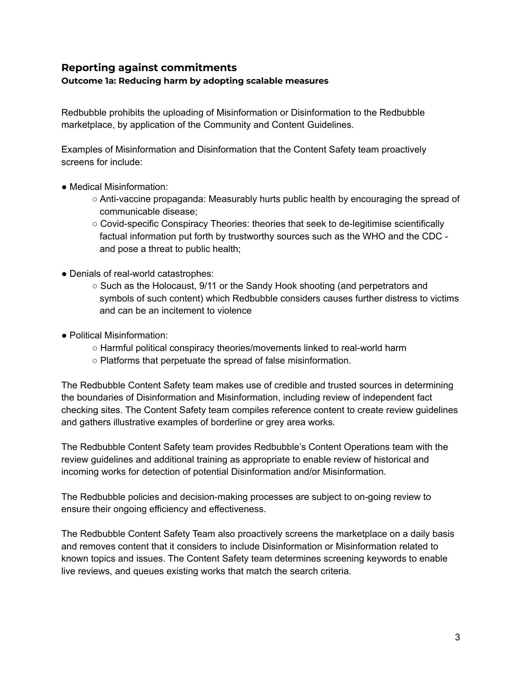### **Reporting against commitments**

#### **Outcome 1a: Reducing harm by adopting scalable measures**

Redbubble prohibits the uploading of Misinformation or Disinformation to the Redbubble marketplace, by application of the Community and Content Guidelines.

Examples of Misinformation and Disinformation that the Content Safety team proactively screens for include:

- Medical Misinformation:
	- Anti-vaccine propaganda: Measurably hurts public health by encouraging the spread of communicable disease;
	- Covid-specific Conspiracy Theories: theories that seek to de-legitimise scientifically factual information put forth by trustworthy sources such as the WHO and the CDC and pose a threat to public health;
- Denials of real-world catastrophes:
	- Such as the Holocaust, 9/11 or the Sandy Hook shooting (and perpetrators and symbols of such content) which Redbubble considers causes further distress to victims and can be an incitement to violence
- Political Misinformation:
	- Harmful political conspiracy theories/movements linked to real-world harm
	- Platforms that perpetuate the spread of false misinformation.

The Redbubble Content Safety team makes use of credible and trusted sources in determining the boundaries of Disinformation and Misinformation, including review of independent fact checking sites. The Content Safety team compiles reference content to create review guidelines and gathers illustrative examples of borderline or grey area works.

The Redbubble Content Safety team provides Redbubble's Content Operations team with the review guidelines and additional training as appropriate to enable review of historical and incoming works for detection of potential Disinformation and/or Misinformation.

The Redbubble policies and decision-making processes are subject to on-going review to ensure their ongoing efficiency and effectiveness.

The Redbubble Content Safety Team also proactively screens the marketplace on a daily basis and removes content that it considers to include Disinformation or Misinformation related to known topics and issues. The Content Safety team determines screening keywords to enable live reviews, and queues existing works that match the search criteria.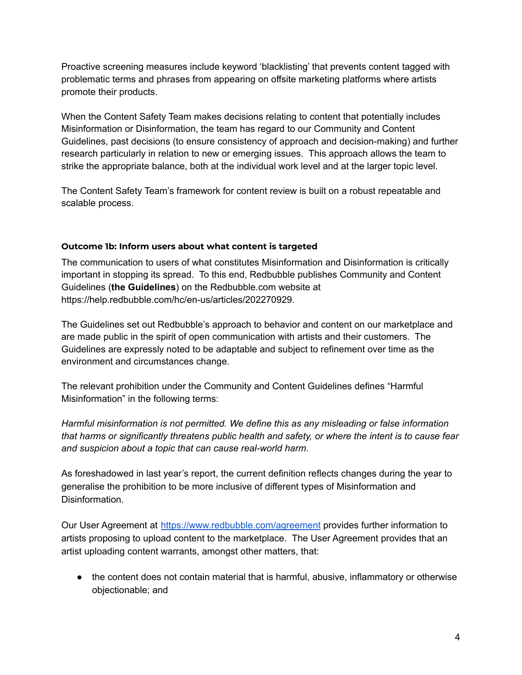Proactive screening measures include keyword 'blacklisting' that prevents content tagged with problematic terms and phrases from appearing on offsite marketing platforms where artists promote their products.

When the Content Safety Team makes decisions relating to content that potentially includes Misinformation or Disinformation, the team has regard to our Community and Content Guidelines, past decisions (to ensure consistency of approach and decision-making) and further research particularly in relation to new or emerging issues. This approach allows the team to strike the appropriate balance, both at the individual work level and at the larger topic level.

The Content Safety Team's framework for content review is built on a robust repeatable and scalable process.

#### **Outcome 1b: Inform users about what content is targeted**

The communication to users of what constitutes Misinformation and Disinformation is critically important in stopping its spread. To this end, Redbubble publishes Community and Content Guidelines (**the Guidelines**) on the Redbubble.com website at https://help.redbubble.com/hc/en-us/articles/202270929.

The Guidelines set out Redbubble's approach to behavior and content on our marketplace and are made public in the spirit of open communication with artists and their customers. The Guidelines are expressly noted to be adaptable and subject to refinement over time as the environment and circumstances change.

The relevant prohibition under the Community and Content Guidelines defines "Harmful Misinformation" in the following terms:

*Harmful misinformation is not permitted. We define this as any misleading or false information that harms or significantly threatens public health and safety, or where the intent is to cause fear and suspicion about a topic that can cause real-world harm.*

As foreshadowed in last year's report, the current definition reflects changes during the year to generalise the prohibition to be more inclusive of different types of Misinformation and Disinformation.

Our User Agreement at <https://www.redbubble.com/agreement> provides further information to artists proposing to upload content to the marketplace. The User Agreement provides that an artist uploading content warrants, amongst other matters, that:

● the content does not contain material that is harmful, abusive, inflammatory or otherwise objectionable; and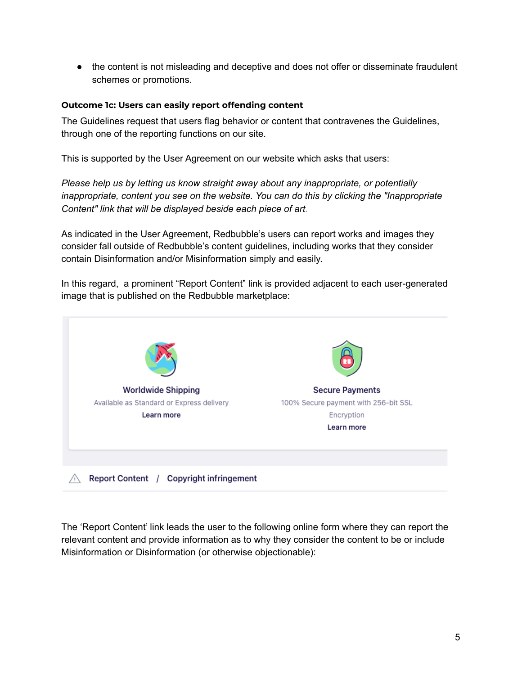● the content is not misleading and deceptive and does not offer or disseminate fraudulent schemes or promotions.

#### **Outcome 1c: Users can easily report offending content**

The Guidelines request that users flag behavior or content that contravenes the Guidelines, through one of the reporting functions on our site.

This is supported by the User Agreement on our website which asks that users:

*Please help us by letting us know straight away about any inappropriate, or potentially inappropriate, content you see on the website. You can do this by clicking the "Inappropriate Content" link that will be displayed beside each piece of art.*

As indicated in the User Agreement, Redbubble's users can report works and images they consider fall outside of Redbubble's content guidelines, including works that they consider contain Disinformation and/or Misinformation simply and easily.

In this regard, a prominent "Report Content" link is provided adjacent to each user-generated image that is published on the Redbubble marketplace:



The 'Report Content' link leads the user to the following online form where they can report the relevant content and provide information as to why they consider the content to be or include Misinformation or Disinformation (or otherwise objectionable):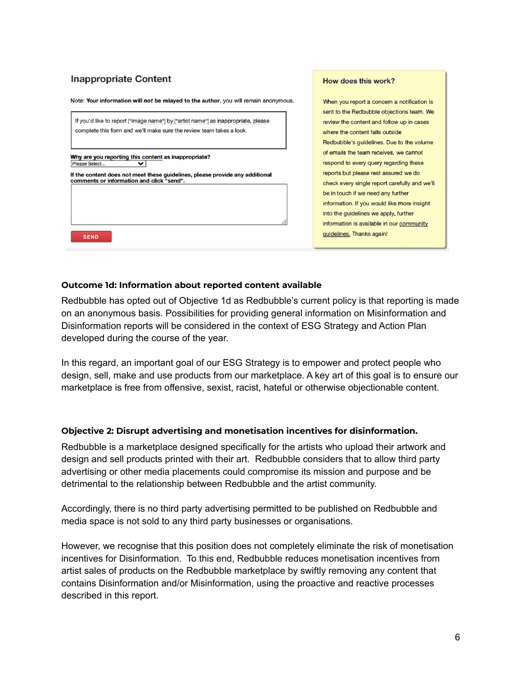#### **Inappropriate Content**



#### How does this work?

When you report a concern a notification is sent to the Redbubble objections team. We review the content and follow up in cases where the content falls outside Redbubble's guidelines. Due to the volume of emails the team receives, we cannot respond to every query regarding these reports but please rest assured we do check every single report carefully and we'll be in touch if we need any further information. If you would like more insight into the guidelines we apply, further information is available in our community guidelines. Thanks again!

#### **Outcome 1d: Information about reported content available**

Redbubble has opted out of Objective 1d as Redbubble's current policy is that reporting is made on an anonymous basis. Possibilities for providing general information on Misinformation and Disinformation reports will be considered in the context of ESG Strategy and Action Plan developed during the course of the year.

In this regard, an important goal of our ESG Strategy is to empower and protect people who design, sell, make and use products from our marketplace. A key art of this goal is to ensure our marketplace is free from offensive, sexist, racist, hateful or otherwise objectionable content.

#### **Objective 2: Disrupt advertising and monetisation incentives for disinformation.**

Redbubble is a marketplace designed specifically for the artists who upload their artwork and design and sell products printed with their art. Redbubble considers that to allow third party advertising or other media placements could compromise its mission and purpose and be detrimental to the relationship between Redbubble and the artist community.

Accordingly, there is no third party advertising permitted to be published on Redbubble and media space is not sold to any third party businesses or organisations.

However, we recognise that this position does not completely eliminate the risk of monetisation incentives for Disinformation. To this end, Redbubble reduces monetisation incentives from artist sales of products on the Redbubble marketplace by swiftly removing any content that contains Disinformation and/or Misinformation, using the proactive and reactive processes described in this report.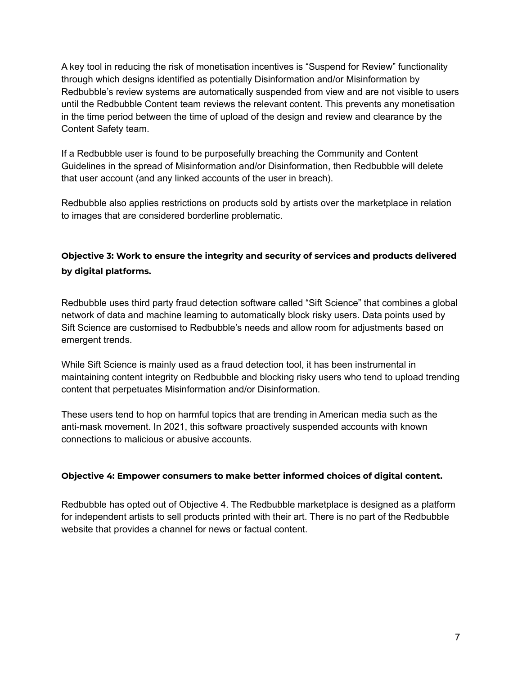A key tool in reducing the risk of monetisation incentives is "Suspend for Review" functionality through which designs identified as potentially Disinformation and/or Misinformation by Redbubble's review systems are automatically suspended from view and are not visible to users until the Redbubble Content team reviews the relevant content. This prevents any monetisation in the time period between the time of upload of the design and review and clearance by the Content Safety team.

If a Redbubble user is found to be purposefully breaching the Community and Content Guidelines in the spread of Misinformation and/or Disinformation, then Redbubble will delete that user account (and any linked accounts of the user in breach).

Redbubble also applies restrictions on products sold by artists over the marketplace in relation to images that are considered borderline problematic.

### **Objective 3: Work to ensure the integrity and security of services and products delivered by digital platforms.**

Redbubble uses third party fraud detection software called "Sift Science" that combines a global network of data and machine learning to automatically block risky users. Data points used by Sift Science are customised to Redbubble's needs and allow room for adjustments based on emergent trends.

While Sift Science is mainly used as a fraud detection tool, it has been instrumental in maintaining content integrity on Redbubble and blocking risky users who tend to upload trending content that perpetuates Misinformation and/or Disinformation.

These users tend to hop on harmful topics that are trending in American media such as the anti-mask movement. In 2021, this software proactively suspended accounts with known connections to malicious or abusive accounts.

#### **Objective 4: Empower consumers to make better informed choices of digital content.**

Redbubble has opted out of Objective 4. The Redbubble marketplace is designed as a platform for independent artists to sell products printed with their art. There is no part of the Redbubble website that provides a channel for news or factual content.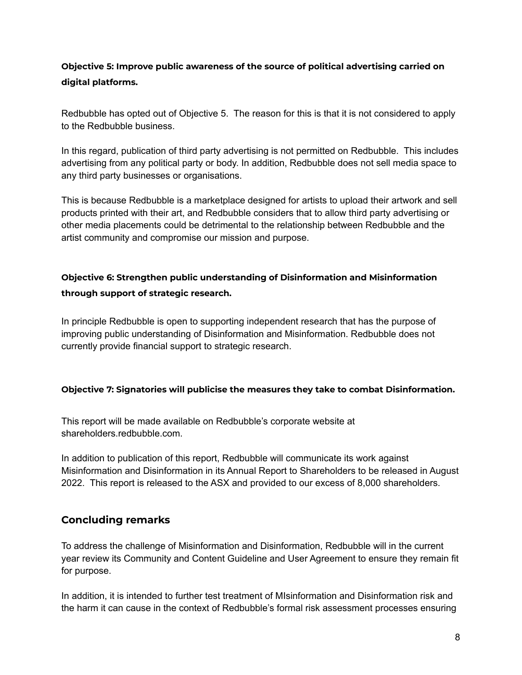### **Objective 5: Improve public awareness of the source of political advertising carried on digital platforms.**

Redbubble has opted out of Objective 5. The reason for this is that it is not considered to apply to the Redbubble business.

In this regard, publication of third party advertising is not permitted on Redbubble. This includes advertising from any political party or body. In addition, Redbubble does not sell media space to any third party businesses or organisations.

This is because Redbubble is a marketplace designed for artists to upload their artwork and sell products printed with their art, and Redbubble considers that to allow third party advertising or other media placements could be detrimental to the relationship between Redbubble and the artist community and compromise our mission and purpose.

### **Objective 6: Strengthen public understanding of Disinformation and Misinformation through support of strategic research.**

In principle Redbubble is open to supporting independent research that has the purpose of improving public understanding of Disinformation and Misinformation. Redbubble does not currently provide financial support to strategic research.

### **Objective 7: Signatories will publicise the measures they take to combat Disinformation.**

This report will be made available on Redbubble's corporate website at shareholders.redbubble.com

In addition to publication of this report, Redbubble will communicate its work against Misinformation and Disinformation in its Annual Report to Shareholders to be released in August 2022. This report is released to the ASX and provided to our excess of 8,000 shareholders.

### **Concluding remarks**

To address the challenge of Misinformation and Disinformation, Redbubble will in the current year review its Community and Content Guideline and User Agreement to ensure they remain fit for purpose.

In addition, it is intended to further test treatment of MIsinformation and Disinformation risk and the harm it can cause in the context of Redbubble's formal risk assessment processes ensuring